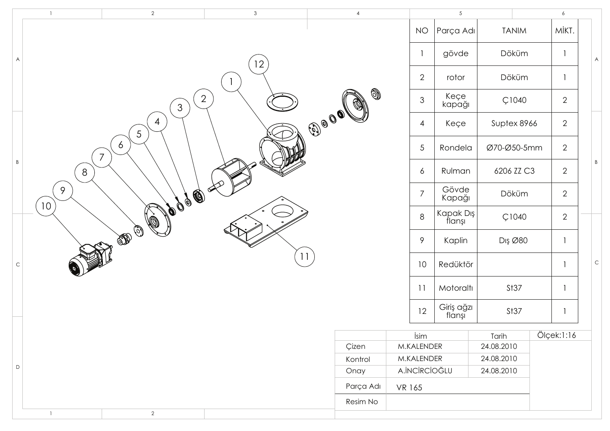|             | $\overline{1}$       | $\overline{2}$      | $\mathbf{3}$   | $\overline{4}$ |                           | $\overline{5}$       |              | $\epsilon$     |             |
|-------------|----------------------|---------------------|----------------|----------------|---------------------------|----------------------|--------------|----------------|-------------|
|             |                      |                     |                |                | <b>NO</b>                 | Parça Adı            | <b>TANIM</b> | MİKT.          |             |
| A           |                      |                     | 2              |                | $\overline{\phantom{a}}$  | gövde                | Döküm        |                | A           |
|             |                      |                     |                |                | $\mathbf{2}$              | rotor                | Döküm        |                |             |
|             |                      | $\mathfrak{S}$      | $\overline{2}$ | 0              | $\ensuremath{\mathsf{3}}$ | Keçe<br>kapağı       | Ç1040        | $\overline{2}$ |             |
|             |                      | $\overline{4}$<br>5 |                | JOO OOL        | $\overline{4}$            | Keçe                 | Suptex 8966  | $\overline{2}$ |             |
|             |                      | 6<br>$\overline{7}$ |                |                | $\sqrt{5}$                | Rondela              | Ø70-Ø50-5mm  | $\overline{2}$ |             |
| $\sf B$     | $8\phantom{1}$       |                     |                |                | 6                         | Rulman               | 6206 ZZ C3   | $\overline{2}$ | B           |
|             | 9<br>10 <sup>2</sup> | JOOSE               |                |                | $\overline{7}$            | Gövde<br>Kapağı      | Döküm        | $\overline{2}$ |             |
|             |                      |                     |                |                | $\,8\,$                   | Kapak Dış<br>flanşı  | Ç1040        | $\overline{2}$ |             |
|             |                      | $\mathbb{Z}^{(n)}$  |                |                | 9                         | Kaplin               | Dış Ø80      |                |             |
| $\mathsf C$ |                      |                     | 11             |                | 10                        | Redüktör             |              |                | $\mathsf C$ |
|             |                      |                     |                |                | 11                        | Motoraltı            | St37         |                |             |
|             |                      |                     |                |                | 12                        | Giriş ağzı<br>flanşı | St37         |                |             |
|             |                      |                     |                |                | İsim                      |                      | Tarih        | Ölçek:1:16     |             |
|             |                      |                     |                | Çizen          | M.KALENDER                |                      | 24.08.2010   |                |             |
|             |                      |                     |                | Kontrol        | M.KALENDER                |                      | 24.08.2010   |                |             |
| $\mathsf D$ |                      |                     |                | Onay           | A.İNCİRCİOĞLU             |                      | 24.08.2010   |                |             |
|             |                      |                     |                | Parça Adı      | VR 165                    |                      |              |                |             |
|             |                      |                     |                | Resim No       |                           |                      |              |                |             |
|             | $\mathbf{1}$         | $\overline{2}$      |                |                |                           |                      |              |                |             |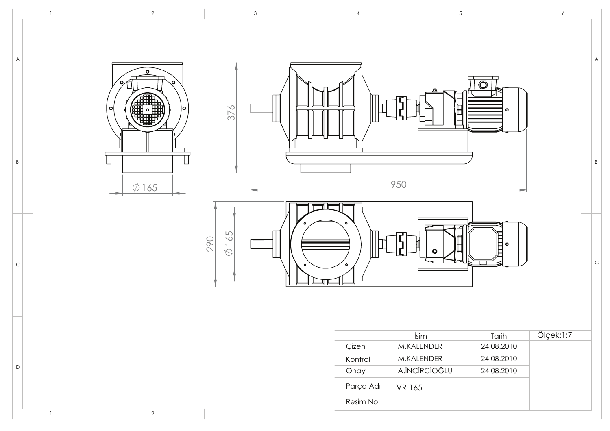|                | $\mathbf{1}$ | $\overline{2}$                       | $\mathbf{3}$                      | $\overline{4}$ | $\overline{5}$       |                                      | $\boldsymbol{6}$ |
|----------------|--------------|--------------------------------------|-----------------------------------|----------------|----------------------|--------------------------------------|------------------|
| $\overline{A}$ |              | $\circ$<br>Ο<br>-ol<br>۱o<br>$\circ$ |                                   |                |                      | $\overline{\mathbf{O}}$<br>$\bullet$ | $\mathsf{A}$     |
| $\mathsf B$    |              | $\Box$<br>$\emptyset$ 165            | 376                               |                | I<br>950             |                                      | $\, {\sf B}$     |
| $\mathsf{C}$   |              |                                      | $\bullet$<br>$\varphi$ 165<br>290 |                | Ĕ<br>$\bullet$       | <b>THE</b><br>$\bullet$              | $\mathsf C$      |
|                |              |                                      |                                   |                | İsim                 | Tarih                                | Ölçek:1:7        |
|                |              |                                      |                                   | Çizen          | M.KALENDER           | 24.08.2010                           |                  |
|                |              |                                      |                                   | Kontrol        | M.KALENDER           | 24.08.2010                           |                  |
| $\mathsf D$    |              |                                      |                                   | Onay           | <b>A.İNCİRCİOĞLU</b> | 24.08.2010                           |                  |
|                |              |                                      |                                   | Parça Adı      | VR 165               |                                      |                  |
|                |              |                                      |                                   | Resim No       |                      |                                      |                  |
|                | $\mathbf{1}$ | $\overline{a}$                       |                                   |                |                      |                                      |                  |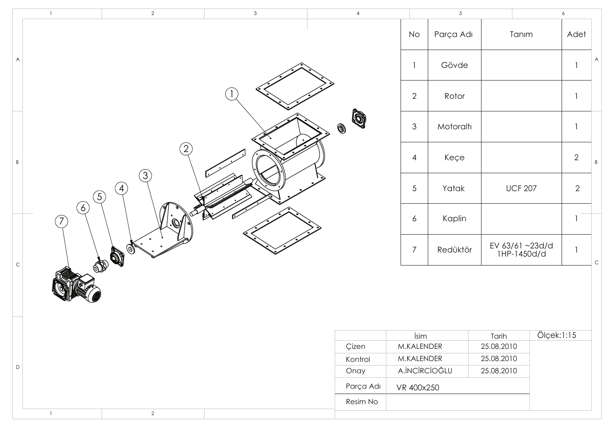|              | $\mathbf{1}$                         | $\sqrt{2}$                                       | $\mathbf{3}$ | $\sqrt{4}$                    |                          | $\overline{5}$ |                               |            | $\ddot{\phantom{0}}$     |             |
|--------------|--------------------------------------|--------------------------------------------------|--------------|-------------------------------|--------------------------|----------------|-------------------------------|------------|--------------------------|-------------|
|              |                                      |                                                  |              |                               | <b>No</b>                | Parça Adı      | Tanım                         |            | Adet                     |             |
| A            |                                      |                                                  |              |                               | $\overline{\phantom{a}}$ | Gövde          |                               |            |                          | A           |
|              |                                      |                                                  |              |                               | $\overline{2}$           | Rotor          |                               |            | $\overline{\phantom{a}}$ |             |
|              |                                      |                                                  |              | Q<br>$\textcircled{\small{}}$ | $\mathfrak 3$            | Motoraltı      |                               |            | $\overline{\phantom{a}}$ |             |
| $\, {\sf B}$ |                                      | $\sqrt{2}$                                       |              |                               | 4                        | Keçe           |                               |            | $2\,$                    | $\,$ B      |
|              |                                      | $\left( 3\right)$<br>$\bigcirc$<br>$\circled{5}$ |              |                               | $\sqrt{5}$               | Yatak          | <b>UCF 207</b>                |            | $\mathbf{2}$             |             |
|              | $\delta)$<br>$\widehat{\mathcal{J}}$ |                                                  |              |                               | 6                        | Kaplin         |                               |            | $\overline{\phantom{a}}$ |             |
| $\mathsf C$  |                                      | John St.                                         |              |                               | $\overline{7}$           | Redüktör       | EV 63/61~23d/d<br>1HP-1450d/d |            | $\overline{\phantom{a}}$ | $\mathsf C$ |
|              |                                      |                                                  |              |                               |                          |                |                               |            |                          |             |
|              |                                      |                                                  |              |                               | İsim                     |                | Tarih                         | Ölçek:1:15 |                          |             |
|              |                                      |                                                  |              | Çizen                         | M.KALENDER               |                | 25.08.2010                    |            |                          |             |
|              |                                      |                                                  |              | Kontrol                       | M.KALENDER               |                | 25.08.2010                    |            |                          |             |
| $\mathsf D$  |                                      | Onay                                             |              |                               | <b>A.İNCİRCİOĞLU</b>     |                | 25.08.2010                    |            |                          |             |
|              |                                      |                                                  |              | Parça Adı                     | VR 400x250               |                |                               |            |                          |             |
|              |                                      |                                                  |              | Resim No                      |                          |                |                               |            |                          |             |
|              | $\mathbf{1}$                         | $\overline{2}$                                   |              |                               |                          |                |                               |            |                          |             |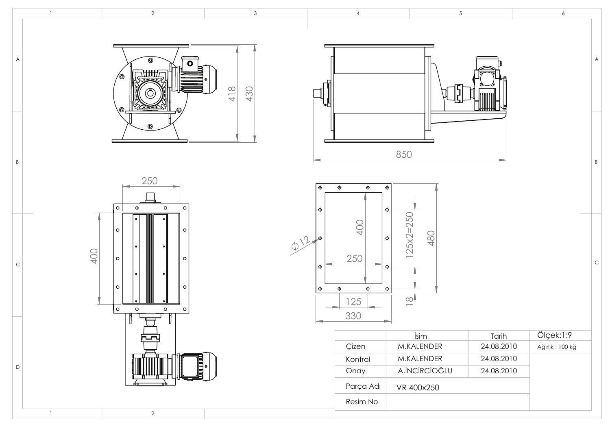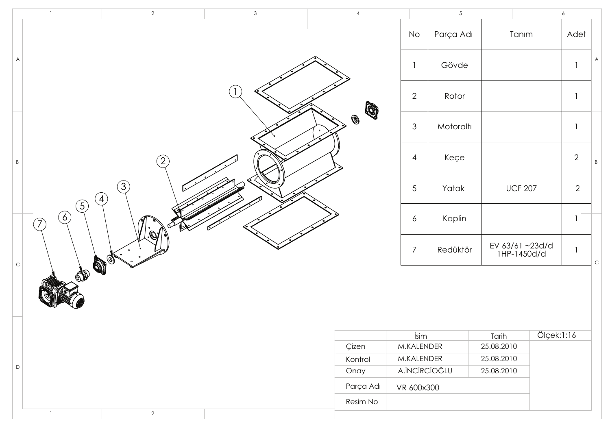|             | $\mathbf{1}$                                     | $\overline{2}$                     | $\mathbf{3}$ | $\overline{4}$                |                                    | $\overline{5}$ |                               |            | $\epsilon$               |                |
|-------------|--------------------------------------------------|------------------------------------|--------------|-------------------------------|------------------------------------|----------------|-------------------------------|------------|--------------------------|----------------|
|             |                                                  |                                    |              |                               | No                                 | Parça Adı      | Tanım                         |            | Adet                     |                |
| A           |                                                  |                                    |              |                               | $\mathbf{1}$                       | Gövde          |                               |            |                          | A              |
|             |                                                  |                                    |              |                               | $\overline{2}$                     | Rotor          |                               |            | $\mathbf{1}$             |                |
|             |                                                  |                                    |              | Q<br>$\textcircled{\small{}}$ | $\ensuremath{\mathsf{3}}$          | Motoraltı      |                               |            | $\overline{\phantom{a}}$ |                |
| $\,$ B      |                                                  | $\left( 2\right)$                  |              |                               | 4                                  | Keçe           |                               |            | $\sqrt{2}$               | $\overline{B}$ |
|             |                                                  | $\circled{3}$<br>$\left( 4\right)$ |              |                               | $\sqrt{5}$                         | Yatak          | <b>UCF 207</b>                |            | $\mathbf{2}$             |                |
|             | $\binom{5}{ }$<br>(6)<br>$\widehat{\mathcal{J}}$ | \Ø.                                |              |                               | 6                                  | Kaplin         |                               |            |                          |                |
| $\mathsf C$ |                                                  | <b>DI</b>                          |              |                               | $\overline{7}$                     | Redüktör       | EV 63/61~23d/d<br>1HP-1450d/d |            | $\mathbf{1}$             | $\mathsf C$    |
|             | 眺                                                |                                    |              |                               |                                    |                |                               |            |                          |                |
|             |                                                  |                                    |              |                               | isim                               |                | Tarih                         | Ölçek:1:16 |                          |                |
|             |                                                  |                                    |              | Çizen                         | M.KALENDER                         |                | 25.08.2010                    |            |                          |                |
|             |                                                  |                                    |              | Kontrol                       | M.KALENDER<br><b>A.İNCİRCİOĞLU</b> |                | 25.08.2010                    |            |                          |                |
| $\mathsf D$ |                                                  |                                    |              | Onay                          |                                    |                | 25.08.2010                    |            |                          |                |
|             |                                                  |                                    |              | Parça Adı                     | VR 600x300                         |                |                               |            |                          |                |
|             |                                                  |                                    |              | Resim No                      |                                    |                |                               |            |                          |                |
|             | $\mathbf{1}$                                     | $\overline{2}$                     |              |                               |                                    |                |                               |            |                          |                |